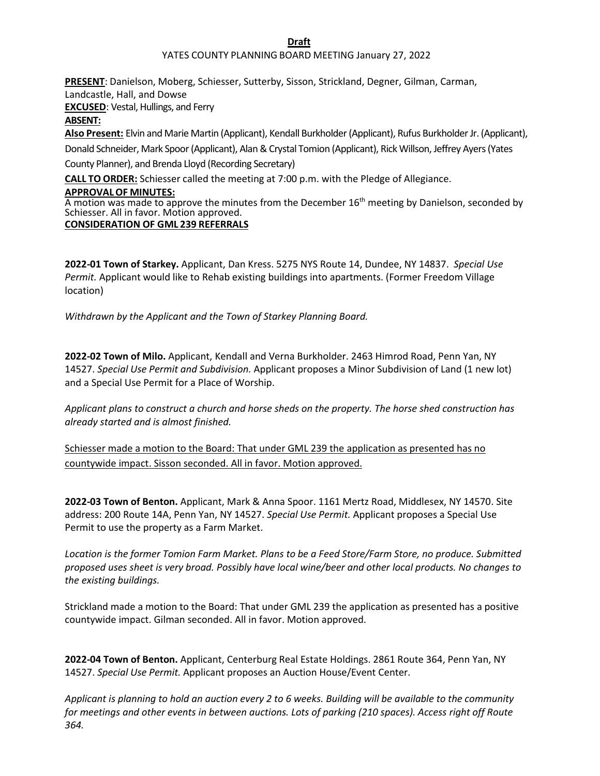### **Draft**

### YATES COUNTY PLANNING BOARD MEETING January 27, 2022

**PRESENT**: Danielson, Moberg, Schiesser, Sutterby, Sisson, Strickland, Degner, Gilman, Carman, Landcastle, Hall, and Dowse **EXCUSED**: Vestal, Hullings, and Ferry **ABSENT: Also Present:** Elvin and Marie Martin (Applicant), Kendall Burkholder(Applicant), Rufus Burkholder Jr. (Applicant), Donald Schneider, Mark Spoor (Applicant), Alan & Crystal Tomion (Applicant), Rick Willson, Jeffrey Ayers (Yates County Planner), and Brenda Lloyd (Recording Secretary) **CALL TO ORDER:** Schiesser called the meeting at 7:00 p.m. with the Pledge of Allegiance.

### **APPROVALOF MINUTES:**

A motion was made to approve the minutes from the December  $16<sup>th</sup>$  meeting by Danielson, seconded by Schiesser. All in favor. Motion approved.

## **CONSIDERATION OF GML 239 REFERRALS**

**2022-01 Town of Starkey.** Applicant, Dan Kress. 5275 NYS Route 14, Dundee, NY 14837. *Special Use Permit.* Applicant would like to Rehab existing buildings into apartments. (Former Freedom Village location)

*Withdrawn by the Applicant and the Town of Starkey Planning Board.*

**2022-02 Town of Milo.** Applicant, Kendall and Verna Burkholder. 2463 Himrod Road, Penn Yan, NY 14527. *Special Use Permit and Subdivision.* Applicant proposes a Minor Subdivision of Land (1 new lot) and a Special Use Permit for a Place of Worship.

*Applicant plans to construct a church and horse sheds on the property. The horse shed construction has already started and is almost finished.*

Schiesser made a motion to the Board: That under GML 239 the application as presented has no countywide impact. Sisson seconded. All in favor. Motion approved.

**2022-03 Town of Benton.** Applicant, Mark & Anna Spoor. 1161 Mertz Road, Middlesex, NY 14570. Site address: 200 Route 14A, Penn Yan, NY 14527. *Special Use Permit.* Applicant proposes a Special Use Permit to use the property as a Farm Market.

*Location is the former Tomion Farm Market. Plans to be a Feed Store/Farm Store, no produce. Submitted proposed uses sheet is very broad. Possibly have local wine/beer and other local products. No changes to the existing buildings.*

Strickland made a motion to the Board: That under GML 239 the application as presented has a positive countywide impact. Gilman seconded. All in favor. Motion approved.

**2022-04 Town of Benton.** Applicant, Centerburg Real Estate Holdings. 2861 Route 364, Penn Yan, NY 14527. *Special Use Permit.* Applicant proposes an Auction House/Event Center.

*Applicant is planning to hold an auction every 2 to 6 weeks. Building will be available to the community for meetings and other events in between auctions. Lots of parking (210 spaces). Access right off Route 364.*